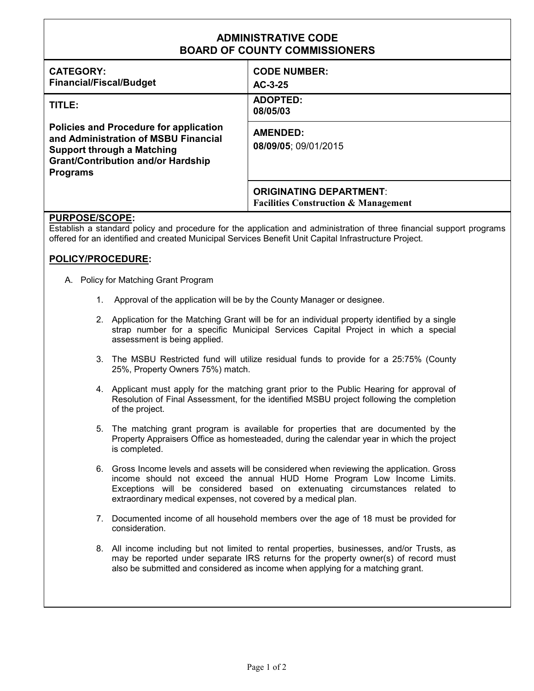| <b>ADMINISTRATIVE CODE</b><br><b>BOARD OF COUNTY COMMISSIONERS</b>                                                                                                                         |                                                                                   |
|--------------------------------------------------------------------------------------------------------------------------------------------------------------------------------------------|-----------------------------------------------------------------------------------|
| <b>CATEGORY:</b><br><b>Financial/Fiscal/Budget</b>                                                                                                                                         | <b>CODE NUMBER:</b><br>$AC-3-25$                                                  |
| TITLE:                                                                                                                                                                                     | <b>ADOPTED:</b><br>08/05/03                                                       |
| <b>Policies and Procedure for application</b><br>and Administration of MSBU Financial<br><b>Support through a Matching</b><br><b>Grant/Contribution and/or Hardship</b><br><b>Programs</b> | <b>AMENDED:</b><br>08/09/05; 09/01/2015                                           |
|                                                                                                                                                                                            | <b>ORIGINATING DEPARTMENT:</b><br><b>Facilities Construction &amp; Management</b> |

## **PURPOSE/SCOPE:**

Establish a standard policy and procedure for the application and administration of three financial support programs offered for an identified and created Municipal Services Benefit Unit Capital Infrastructure Project.

## **POLICY/PROCEDURE:**

- A. Policy for Matching Grant Program
	- 1. Approval of the application will be by the County Manager or designee.
	- 2. Application for the Matching Grant will be for an individual property identified by a single strap number for a specific Municipal Services Capital Project in which a special assessment is being applied.
	- 3. The MSBU Restricted fund will utilize residual funds to provide for a 25:75% (County 25%, Property Owners 75%) match.
	- 4. Applicant must apply for the matching grant prior to the Public Hearing for approval of Resolution of Final Assessment, for the identified MSBU project following the completion of the project.
	- 5. The matching grant program is available for properties that are documented by the Property Appraisers Office as homesteaded, during the calendar year in which the project is completed.
	- 6. Gross Income levels and assets will be considered when reviewing the application. Gross income should not exceed the annual HUD Home Program Low Income Limits. Exceptions will be considered based on extenuating circumstances related to extraordinary medical expenses, not covered by a medical plan.
	- 7. Documented income of all household members over the age of 18 must be provided for consideration.
	- 8. All income including but not limited to rental properties, businesses, and/or Trusts, as may be reported under separate IRS returns for the property owner(s) of record must also be submitted and considered as income when applying for a matching grant.